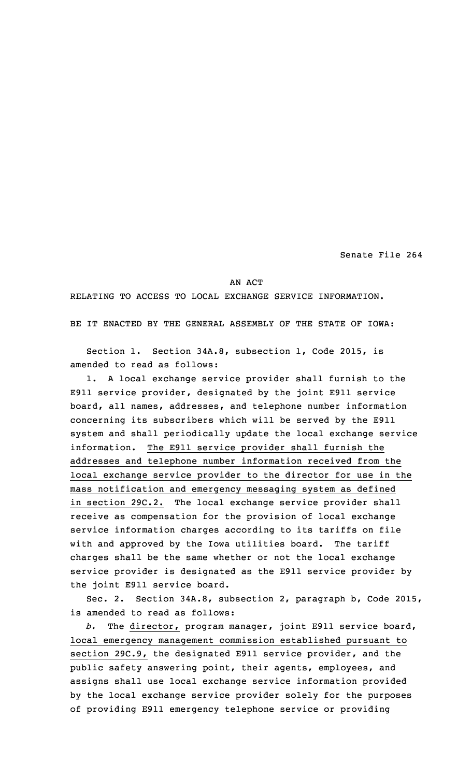Senate File 264

## AN ACT

## RELATING TO ACCESS TO LOCAL EXCHANGE SERVICE INFORMATION.

BE IT ENACTED BY THE GENERAL ASSEMBLY OF THE STATE OF IOWA:

Section 1. Section 34A.8, subsection 1, Code 2015, is amended to read as follows:

1. <sup>A</sup> local exchange service provider shall furnish to the E911 service provider, designated by the joint E911 service board, all names, addresses, and telephone number information concerning its subscribers which will be served by the E911 system and shall periodically update the local exchange service information. The E911 service provider shall furnish the addresses and telephone number information received from the local exchange service provider to the director for use in the mass notification and emergency messaging system as defined in section 29C.2. The local exchange service provider shall receive as compensation for the provision of local exchange service information charges according to its tariffs on file with and approved by the Iowa utilities board. The tariff charges shall be the same whether or not the local exchange service provider is designated as the E911 service provider by the joint E911 service board.

Sec. 2. Section 34A.8, subsection 2, paragraph b, Code 2015, is amended to read as follows:

*b.* The director, program manager, joint E911 service board, local emergency management commission established pursuant to section 29C.9, the designated E911 service provider, and the public safety answering point, their agents, employees, and assigns shall use local exchange service information provided by the local exchange service provider solely for the purposes of providing E911 emergency telephone service or providing